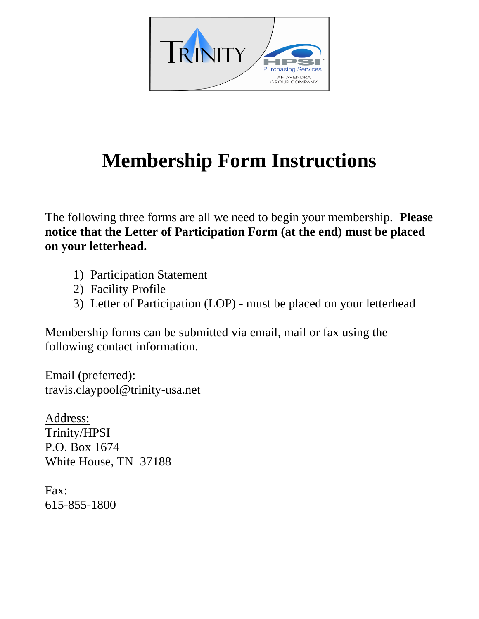

## **Membership Form Instructions**

The following three forms are all we need to begin your membership. **Please notice that the Letter of Participation Form (at the end) must be placed on your letterhead.**

- 1) Participation Statement
- 2) Facility Profile
- 3) Letter of Participation (LOP) must be placed on your letterhead

Membership forms can be submitted via email, mail or fax using the following contact information.

Email (preferred): travis.claypool@trinity-usa.net

Address: Trinity/HPSI P.O. Box 1674 White House, TN 37188

Fax: 615-855-1800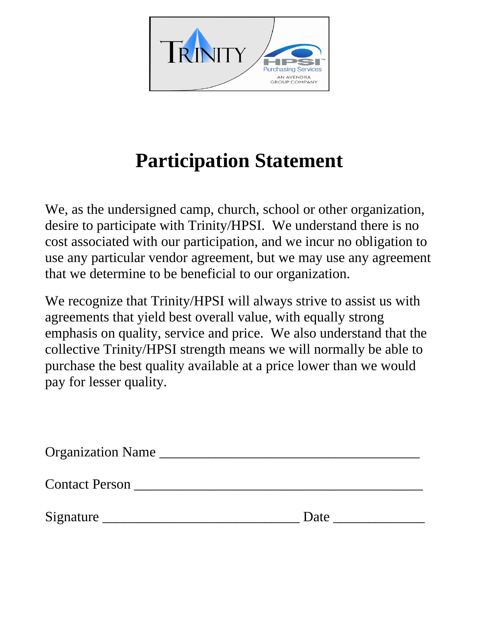

## **Participation Statement**

We, as the undersigned camp, church, school or other organization, desire to participate with Trinity/HPSI. We understand there is no cost associated with our participation, and we incur no obligation to use any particular vendor agreement, but we may use any agreement that we determine to be beneficial to our organization.

We recognize that Trinity/HPSI will always strive to assist us with agreements that yield best overall value, with equally strong emphasis on quality, service and price. We also understand that the collective Trinity/HPSI strength means we will normally be able to purchase the best quality available at a price lower than we would pay for lesser quality.

| <b>Organization Name</b> |      |
|--------------------------|------|
| <b>Contact Person</b>    |      |
| Signature                | Date |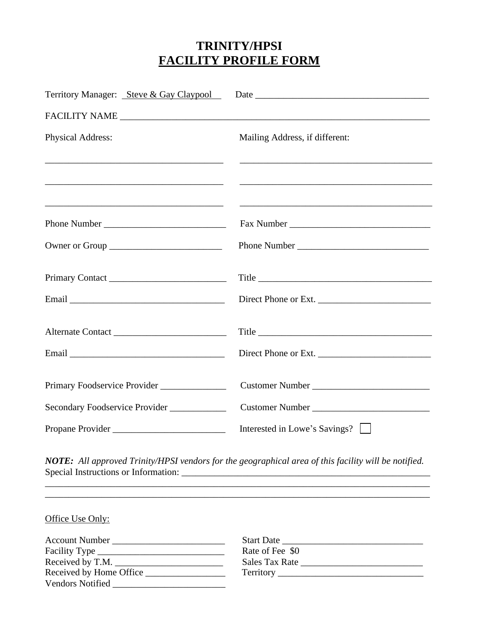## **TRINITY/HPSI FACILITY PROFILE FORM**

| Territory Manager: Steve & Gay Claypool |                                                                                                                       |
|-----------------------------------------|-----------------------------------------------------------------------------------------------------------------------|
|                                         |                                                                                                                       |
| <b>Physical Address:</b>                | Mailing Address, if different:                                                                                        |
|                                         |                                                                                                                       |
|                                         | <u> Alexandro de la contrada de la contrada de la contrada de la contrada de la contrada de la contrada de la con</u> |
|                                         |                                                                                                                       |
|                                         |                                                                                                                       |
|                                         | Direct Phone or Ext.                                                                                                  |
|                                         |                                                                                                                       |
|                                         | Direct Phone or Ext.                                                                                                  |
| Primary Foodservice Provider            |                                                                                                                       |
| Secondary Foodservice Provider          |                                                                                                                       |
| Propane Provider                        | Interested in Lowe's Savings?                                                                                         |

*NOTE: All approved Trinity/HPSI vendors for the geographical area of this facility will be notified.* Special Instructions or Information: \_\_\_\_\_\_\_\_\_\_\_\_\_\_\_\_\_\_\_\_\_\_\_\_\_\_\_\_\_\_\_\_\_\_\_\_\_\_\_\_\_\_\_\_\_\_\_\_\_\_\_\_\_ \_\_\_\_\_\_\_\_\_\_\_\_\_\_\_\_\_\_\_\_\_\_\_\_\_\_\_\_\_\_\_\_\_\_\_\_\_\_\_\_\_\_\_\_\_\_\_\_\_\_\_\_\_\_\_\_\_\_\_\_\_\_\_\_\_\_\_\_\_\_\_\_\_\_\_\_\_\_\_\_\_\_

\_\_\_\_\_\_\_\_\_\_\_\_\_\_\_\_\_\_\_\_\_\_\_\_\_\_\_\_\_\_\_\_\_\_\_\_\_\_\_\_\_\_\_\_\_\_\_\_\_\_\_\_\_\_\_\_\_\_\_\_\_\_\_\_\_\_\_\_\_\_\_\_\_\_\_\_\_\_\_\_\_\_

Office Use Only:

| Account Number          | <b>Start Date</b> |
|-------------------------|-------------------|
|                         | Rate of Fee \$0   |
| Received by T.M.        | Sales Tax Rate    |
| Received by Home Office |                   |
| <b>Vendors Notified</b> |                   |